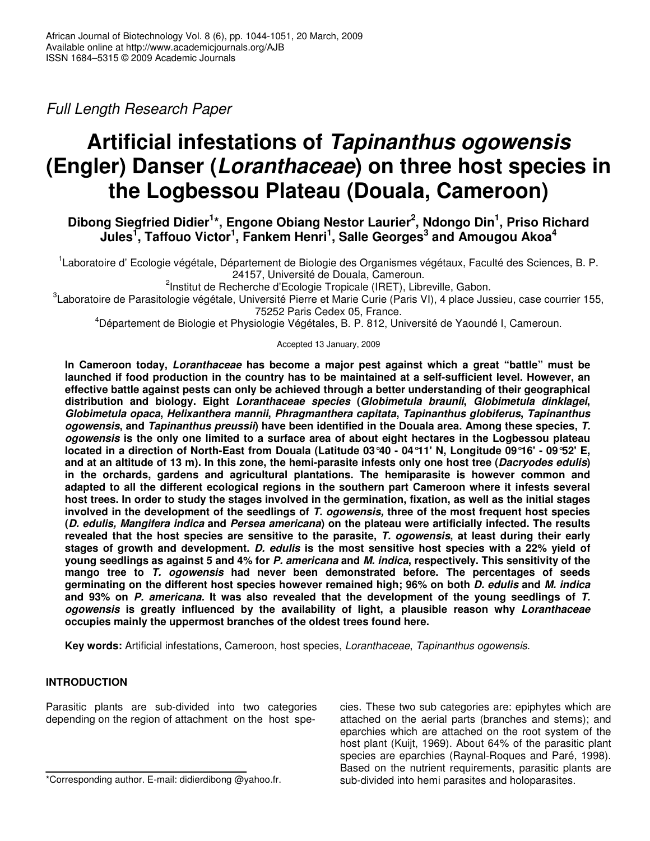*Full Length Research Paper*

# **Artificial infestations of** *Tapinanthus ogowensis* **(Engler) Danser (***Loranthaceae***) on three host species in the Logbessou Plateau (Douala, Cameroon)**

**Dibong Siegfried Didier 1 \*, Engone Obiang Nestor Laurier 2 , Ndongo Din 1 , Priso Richard**  $\boldsymbol{\mathsf{J}}$ ules<sup>1</sup>, Taffouo Victor<sup>1</sup>, Fankem Henri<sup>1</sup>, Salle Georges $^3$  and Amougou Akoa $^4$ 

<sup>1</sup>Laboratoire d' Ecologie végétale, Département de Biologie des Organismes végétaux, Faculté des Sciences, B. P. 24157, Université de Douala, Cameroun.

<sup>2</sup>Institut de Recherche d'Ecologie Tropicale (IRET), Libreville, Gabon.

<sup>3</sup>Laboratoire de Parasitologie végétale, Université Pierre et Marie Curie (Paris VI), 4 place Jussieu, case courrier 155,

75252 Paris Cedex 05, France.

<sup>4</sup>Département de Biologie et Physiologie Végétales, B. P. 812, Université de Yaoundé I, Cameroun.

Accepted 13 January, 2009

**In Cameroon today,** *Loranthaceae* **has become a major pest against which a great "battle" must be launched if food production in the country has to be maintained at a self-sufficient level. However, an effective battle against pests can only be achieved through a better understanding of their geographical distribution and biology. Eight** *Loranthaceae species* **(***Globimetula braunii***,** *Globimetula dinklagei***,** *Globimetula opaca***,** *Helixanthera mannii***,** *Phragmanthera capitata***,** *Tapinanthus globiferus***,** *Tapinanthus ogowensis***, and** *Tapinanthus preussii***) have been identified in the Douala area. Among these species,** *T.* ogowensis is the only one limited to a surface area of about eight hectares in the Logbessou plateau located in a direction of North-East from Douala (Latitude 03°40 - 04°11' N, Longitude 09°16' - 09°52' E, and at an altitude of 13 m). In this zone, the hemi-parasite infests only one host tree (Dacryodes edulis) **in the orchards, gardens and agricultural plantations. The hemiparasite is however common and adapted to all the different ecological regions in the southern part Cameroon where it infests several** host trees. In order to study the stages involved in the germination, fixation, as well as the initial stages **involved in the development of the seedlings of** *T. ogowensis,* **three of the most frequent host species (***D. edulis, Mangifera indica* **and** *Persea americana***) on the plateau were artificially infected. The results** revealed that the host species are sensitive to the parasite, T. ogowensis, at least during their early **stages of growth and development.** *D. edulis* **is the most sensitive host species with a 22% yield of** young seedlings as against 5 and 4% for P. americana and M. indica, respectively. This sensitivity of the **mango tree to** *T. ogowensis* **had never been demonstrated before. The percentages of seeds germinating on the different host species however remained high; 96% on both** *D. edulis* **and** *M. indica* **and 93% on** *P. americana.* **It was also revealed that the development of the young seedlings of** *T. ogowensis* **is greatly influenced by the availability of light, a plausible reason why** *Loranthaceae* **occupies mainly the uppermost branches of the oldest trees found here.**

**Key words:** Artificial infestations, Cameroon, host species, *Loranthaceae*, *Tapinanthus ogowensis*.

# **INTRODUCTION**

Parasitic plants are sub-divided into two categories depending on the region of attachment on the host spe-

\*Corresponding author. E-mail: didierdibong @yahoo.fr.

cies. These two sub categories are: epiphytes which are attached on the aerial parts (branches and stems); and eparchies which are attached on the root system of the host plant (Kuijt, 1969). About 64% of the parasitic plant species are eparchies (Raynal-Roques and Paré, 1998). Based on the nutrient requirements, parasitic plants are sub-divided into hemi parasites and holoparasites.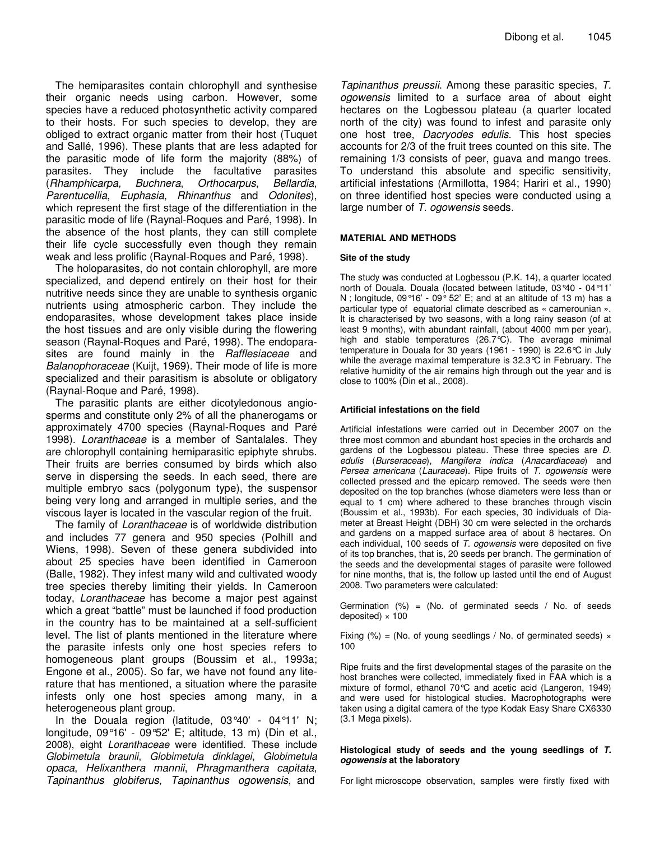The hemiparasites contain chlorophyll and synthesise their organic needs using carbon. However, some species have a reduced photosynthetic activity compared to their hosts. For such species to develop, they are obliged to extract organic matter from their host (Tuquet and Sallé, 1996). These plants that are less adapted for the parasitic mode of life form the majority (88%) of parasites. They include the facultative parasites (*Rhamphicarpa, Buchnera*, *Orthocarpus*, *Bellardia*, *Parentucellia*, *Euphasia*, *Rhinanthus* and *Odonites*), which represent the first stage of the differentiation in the parasitic mode of life (Raynal-Roques and Paré, 1998). In the absence of the host plants, they can still complete their life cycle successfully even though they remain weak and less prolific (Raynal-Roques and Paré, 1998).

The holoparasites, do not contain chlorophyll, are more specialized, and depend entirely on their host for their nutritive needs since they are unable to synthesis organic nutrients using atmospheric carbon. They include the endoparasites, whose development takes place inside the host tissues and are only visible during the flowering season (Raynal-Roques and Paré, 1998). The endoparasites are found mainly in the *Rafflesiaceae* and *Balanophoraceae* (Kuijt, 1969). Their mode of life is more specialized and their parasitism is absolute or obligatory (Raynal-Roque and Paré, 1998).

The parasitic plants are either dicotyledonous angiosperms and constitute only 2% of all the phanerogams or approximately 4700 species (Raynal-Roques and Paré 1998). *Loranthaceae* is a member of Santalales. They are chlorophyll containing hemiparasitic epiphyte shrubs. Their fruits are berries consumed by birds which also serve in dispersing the seeds. In each seed, there are multiple embryo sacs (polygonum type), the suspensor being very long and arranged in multiple series, and the viscous layer is located in the vascular region of the fruit.

The family of *Loranthaceae* is of worldwide distribution and includes 77 genera and 950 species (Polhill and Wiens, 1998). Seven of these genera subdivided into about 25 species have been identified in Cameroon (Balle, 1982). They infest many wild and cultivated woody tree species thereby limiting their yields. In Cameroon today, *Loranthaceae* has become a major pest against which a great "battle" must be launched if food production in the country has to be maintained at a self-sufficient level. The list of plants mentioned in the literature where the parasite infests only one host species refers to homogeneous plant groups (Boussim et al., 1993a; Engone et al., 2005). So far, we have not found any literature that has mentioned, a situation where the parasite infests only one host species among many, in a heterogeneous plant group.

In the Douala region (latitude, 03°40' - 04°11' N; longitude, 09°16' - 09°52' E; altitude, 13 m) (Din et al., 2008), eight *Loranthaceae* were identified. These include *Globimetula braunii*, *Globimetula dinklagei*, *Globimetula opaca*, *Helixanthera mannii*, *Phragmanthera capitata*, *Tapinanthus globiferus, Tapinanthus ogowensis*, and

*Tapinanthus preussii*. Among these parasitic species, *T. ogowensis* limited to a surface area of about eight hectares on the Logbessou plateau (a quarter located north of the city) was found to infest and parasite only one host tree, *Dacryodes edulis*. This host species accounts for 2/3 of the fruit trees counted on this site. The remaining 1/3 consists of peer, guava and mango trees. To understand this absolute and specific sensitivity, artificial infestations (Armillotta, 1984; Hariri et al., 1990) on three identified host species were conducted using a large number of *T. ogowensis* seeds.

#### **MATERIAL AND METHODS**

#### **Site of the study**

The study was conducted at Logbessou (P.K. 14), a quarter located north of Douala. Douala (located between latitude, 03°40 - 04°11' N; longitude, 09 $^{\circ}$ 16' - 09 $^{\circ}$  52' E; and at an altitude of 13 m) has a particular type of equatorial climate described as « camerounian ». It is characterised by two seasons, with a long rainy season (of at least 9 months), with abundant rainfall, (about 4000 mm per year), high and stable temperatures (26.7°C). The average minimal temperature in Douala for 30 years (1961 - 1990) is 22.6°C in July while the average maximal temperature is 32.3°C in February. The relative humidity of the air remains high through out the year and is close to 100% (Din et al., 2008).

#### **Artificial infestations on the field**

Artificial infestations were carried out in December 2007 on the three most common and abundant host species in the orchards and gardens of the Logbessou plateau. These three species are *D. edulis* (*Burseraceae*), *Mangifera indica* (*Anacardiaceae*) and *Persea americana* (*Lauraceae*). Ripe fruits of *T. ogowensis* were collected pressed and the epicarp removed. The seeds were then deposited on the top branches (whose diameters were less than or equal to 1 cm) where adhered to these branches through viscin (Boussim et al., 1993b). For each species, 30 individuals of Diameter at Breast Height (DBH) 30 cm were selected in the orchards and gardens on a mapped surface area of about 8 hectares. On each individual, 100 seeds of *T. ogowensis* were deposited on five of its top branches, that is, 20 seeds per branch. The germination of the seeds and the developmental stages of parasite were followed for nine months, that is, the follow up lasted until the end of August 2008. Two parameters were calculated:

Germination  $(\%)$  = (No. of germinated seeds / No. of seeds deposited)  $\times$  100

Fixing (%) = (No. of young seedlings / No. of germinated seeds)  $\times$ 100

Ripe fruits and the first developmental stages of the parasite on the host branches were collected, immediately fixed in FAA which is a mixture of formol, ethanol 70°C and acetic acid (Langeron, 1949) and were used for histological studies. Macrophotographs were taken using a digital camera of the type Kodak Easy Share CX6330 (3.1 Mega pixels).

#### **Histological study of seeds and the young seedlings of** *T. ogowensis* **at the laboratory**

For light microscope observation, samples were firstly fixed with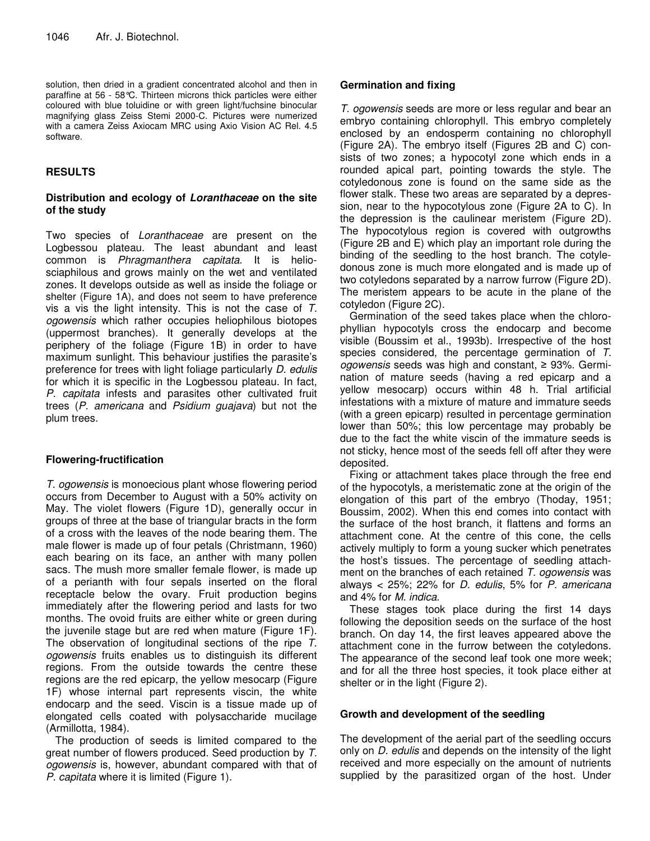solution, then dried in a gradient concentrated alcohol and then in paraffine at 56 - 58°C. Thirteen microns thick particles were either coloured with blue toluidine or with green light/fuchsine binocular magnifying glass Zeiss Stemi 2000-C. Pictures were numerized with a camera Zeiss Axiocam MRC using Axio Vision AC Rel. 4.5 software.

# **RESULTS**

### **Distribution and ecology of** *Loranthaceae* **on the site of the study**

Two species of *Loranthaceae* are present on the Logbessou plateau. The least abundant and least common is *Phragmanthera capitata*. It is heliosciaphilous and grows mainly on the wet and ventilated zones. It develops outside as well as inside the foliage or shelter (Figure 1A), and does not seem to have preference vis a vis the light intensity. This is not the case of *T. ogowensis* which rather occupies heliophilous biotopes (uppermost branches). It generally develops at the periphery of the foliage (Figure 1B) in order to have maximum sunlight. This behaviour justifies the parasite's preference for trees with light foliage particularly *D. edulis* for which it is specific in the Logbessou plateau. In fact, *P. capitata* infests and parasites other cultivated fruit trees (*P. americana* and *Psidium guajava*) but not the plum trees.

#### **Flowering-fructification**

*T. ogowensis* is monoecious plant whose flowering period occurs from December to August with a 50% activity on May. The violet flowers (Figure 1D), generally occur in groups of three at the base of triangular bracts in the form of a cross with the leaves of the node bearing them. The male flower is made up of four petals (Christmann, 1960) each bearing on its face, an anther with many pollen sacs. The mush more smaller female flower, is made up of a perianth with four sepals inserted on the floral receptacle below the ovary. Fruit production begins immediately after the flowering period and lasts for two months. The ovoid fruits are either white or green during the juvenile stage but are red when mature (Figure 1F). The observation of longitudinal sections of the ripe *T. ogowensis* fruits enables us to distinguish its different regions. From the outside towards the centre these regions are the red epicarp, the yellow mesocarp (Figure 1F) whose internal part represents viscin, the white endocarp and the seed. Viscin is a tissue made up of elongated cells coated with polysaccharide mucilage (Armillotta, 1984).

The production of seeds is limited compared to the great number of flowers produced. Seed production by *T. ogowensis* is, however, abundant compared with that of *P. capitata* where it is limited (Figure 1).

## **Germination and fixing**

*T. ogowensis* seeds are more or less regular and bear an embryo containing chlorophyll. This embryo completely enclosed by an endosperm containing no chlorophyll (Figure 2A). The embryo itself (Figures 2B and C) consists of two zones; a hypocotyl zone which ends in a rounded apical part, pointing towards the style. The cotyledonous zone is found on the same side as the flower stalk. These two areas are separated by a depression, near to the hypocotylous zone (Figure 2A to C). In the depression is the caulinear meristem (Figure 2D). The hypocotylous region is covered with outgrowths (Figure 2B and E) which play an important role during the binding of the seedling to the host branch. The cotyledonous zone is much more elongated and is made up of two cotyledons separated by a narrow furrow (Figure 2D). The meristem appears to be acute in the plane of the cotyledon (Figure 2C).

Germination of the seed takes place when the chlorophyllian hypocotyls cross the endocarp and become visible (Boussim et al., 1993b). Irrespective of the host species considered, the percentage germination of *T. ogowensis* seeds was high and constant, ≥ 93%. Germination of mature seeds (having a red epicarp and a yellow mesocarp) occurs within 48 h. Trial artificial infestations with a mixture of mature and immature seeds (with a green epicarp) resulted in percentage germination lower than 50%; this low percentage may probably be due to the fact the white viscin of the immature seeds is not sticky, hence most of the seeds fell off after they were deposited.

Fixing or attachment takes place through the free end of the hypocotyls, a meristematic zone at the origin of the elongation of this part of the embryo (Thoday, 1951; Boussim, 2002). When this end comes into contact with the surface of the host branch, it flattens and forms an attachment cone. At the centre of this cone, the cells actively multiply to form a young sucker which penetrates the host's tissues. The percentage of seedling attachment on the branches of each retained *T. ogowensis* was always < 25%; 22% for *D. edulis*, 5% for *P. americana* and 4% for *M. indica*.

These stages took place during the first 14 days following the deposition seeds on the surface of the host branch. On day 14, the first leaves appeared above the attachment cone in the furrow between the cotyledons. The appearance of the second leaf took one more week; and for all the three host species, it took place either at shelter or in the light (Figure 2).

#### **Growth and development of the seedling**

The development of the aerial part of the seedling occurs only on *D. edulis* and depends on the intensity of the light received and more especially on the amount of nutrients supplied by the parasitized organ of the host. Under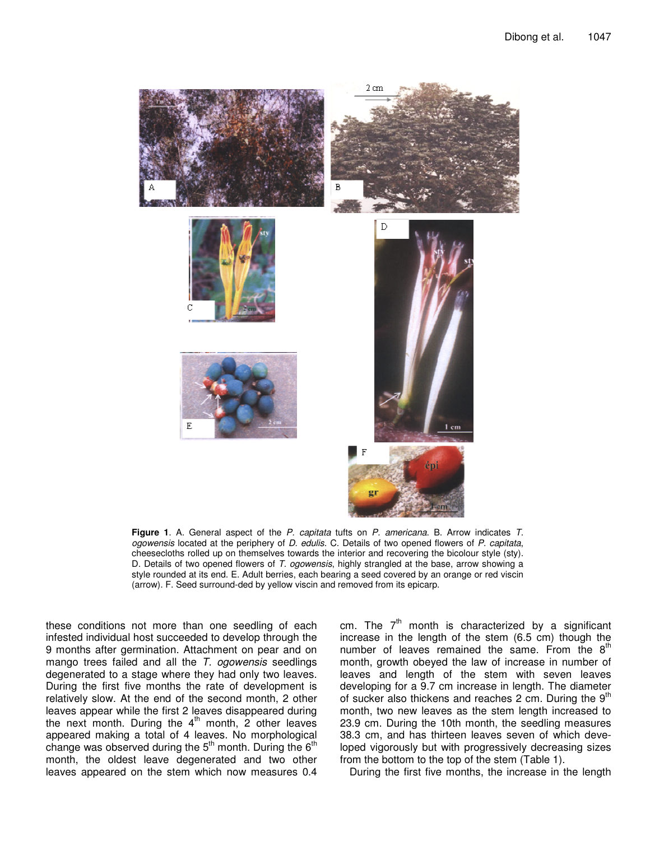

**Figure 1**. A. General aspect of the *P. capitata* tufts on *P. americana*. B. Arrow indicates *T. ogowensis* located at the periphery of *D. edulis*. C. Details of two opened flowers of *P. capitata*, cheesecloths rolled up on themselves towards the interior and recovering the bicolour style (sty). D. Details of two opened flowers of *T. ogowensis*, highly strangled at the base, arrow showing a style rounded at its end. E. Adult berries, each bearing a seed covered by an orange or red viscin (arrow). F. Seed surround-ded by yellow viscin and removed from its epicarp.

these conditions not more than one seedling of each infested individual host succeeded to develop through the 9 months after germination. Attachment on pear and on mango trees failed and all the *T. ogowensis* seedlings degenerated to a stage where they had only two leaves. During the first five months the rate of development is relatively slow. At the end of the second month, 2 other leaves appear while the first 2 leaves disappeared during the next month. During the 4<sup>th</sup> month, 2 other leaves appeared making a total of 4 leaves. No morphological change was observed during the  $5<sup>th</sup>$  month. During the  $6<sup>th</sup>$ month, the oldest leave degenerated and two other leaves appeared on the stem which now measures 0.4

cm. The  $7<sup>th</sup>$  month is characterized by a significant increase in the length of the stem (6.5 cm) though the number of leaves remained the same. From the  $8<sup>th</sup>$ month, growth obeyed the law of increase in number of leaves and length of the stem with seven leaves developing for a 9.7 cm increase in length. The diameter of sucker also thickens and reaches 2 cm. During the 9<sup>th</sup> month, two new leaves as the stem length increased to 23.9 cm. During the 10th month, the seedling measures 38.3 cm, and has thirteen leaves seven of which developed vigorously but with progressively decreasing sizes from the bottom to the top of the stem (Table 1).

During the first five months, the increase in the length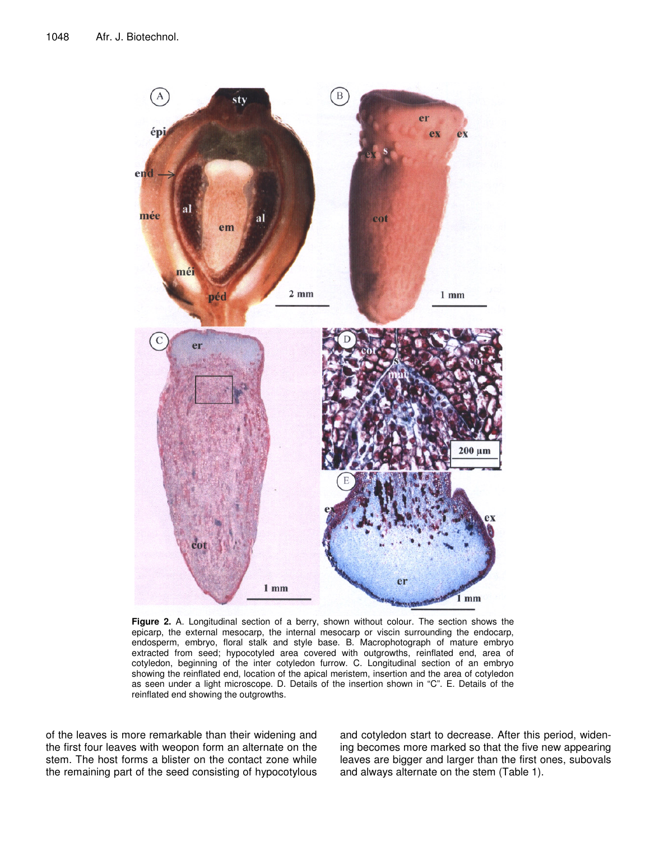

**Figure 2.** A. Longitudinal section of a berry, shown without colour. The section shows the epicarp, the external mesocarp, the internal mesocarp or viscin surrounding the endocarp, endosperm, embryo, floral stalk and style base. B. Macrophotograph of mature embryo extracted from seed; hypocotyled area covered with outgrowths, reinflated end, area of cotyledon, beginning of the inter cotyledon furrow. C. Longitudinal section of an embryo showing the reinflated end, location of the apical meristem, insertion and the area of cotyledon as seen under a light microscope. D. Details of the insertion shown in "C". E. Details of the reinflated end showing the outgrowths.

of the leaves is more remarkable than their widening and the first four leaves with weopon form an alternate on the stem. The host forms a blister on the contact zone while the remaining part of the seed consisting of hypocotylous and cotyledon start to decrease. After this period, widening becomes more marked so that the five new appearing leaves are bigger and larger than the first ones, subovals and always alternate on the stem (Table 1).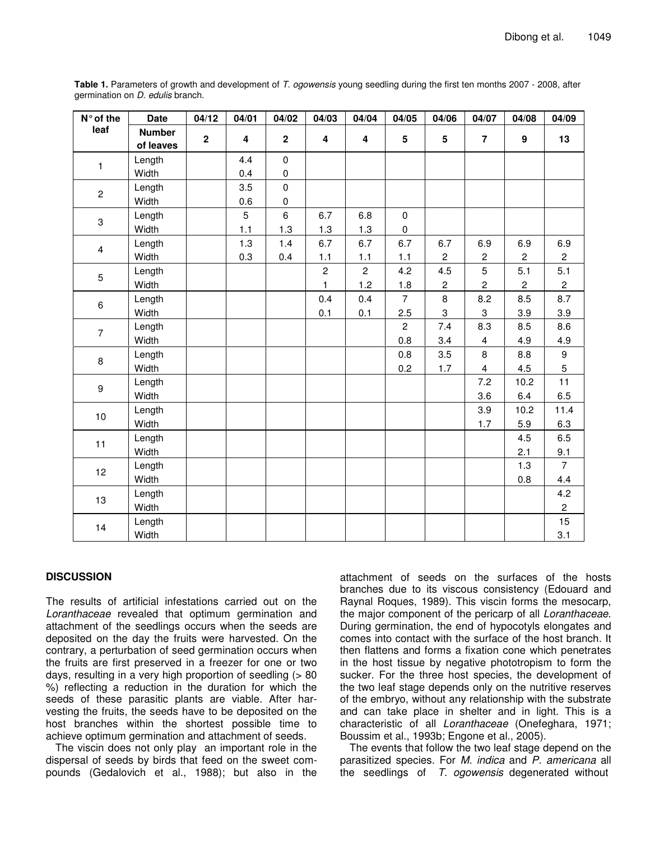| N° of the      | <b>Date</b>   | 04/12        | 04/01                   | 04/02        | 04/03          | 04/04          | 04/05           | 04/06           | 04/07          | 04/08          | 04/09          |
|----------------|---------------|--------------|-------------------------|--------------|----------------|----------------|-----------------|-----------------|----------------|----------------|----------------|
| leaf           | <b>Number</b> | $\mathbf{2}$ | $\overline{\mathbf{4}}$ | $\mathbf{2}$ | 4              | 4              | $5\phantom{.0}$ | $5\phantom{.0}$ | $\overline{7}$ | 9              | 13             |
|                | of leaves     |              |                         |              |                |                |                 |                 |                |                |                |
| $\mathbf{1}$   | Length        |              | 4.4                     | $\mathbf 0$  |                |                |                 |                 |                |                |                |
|                | Width         |              | 0.4                     | $\pmb{0}$    |                |                |                 |                 |                |                |                |
| $\overline{c}$ | Length        |              | 3.5                     | $\mathbf 0$  |                |                |                 |                 |                |                |                |
|                | Width         |              | 0.6                     | $\pmb{0}$    |                |                |                 |                 |                |                |                |
| 3              | Length        |              | 5                       | $\,6\,$      | 6.7            | 6.8            | $\pmb{0}$       |                 |                |                |                |
|                | Width         |              | 1.1                     | 1.3          | 1.3            | 1.3            | $\mathbf 0$     |                 |                |                |                |
| 4              | Length        |              | 1.3                     | 1.4          | 6.7            | 6.7            | 6.7             | 6.7             | 6.9            | 6.9            | 6.9            |
|                | Width         |              | 0.3                     | 0.4          | $1.1$          | 1.1            | 1.1             | $\overline{c}$  | $\overline{c}$ | $\overline{2}$ | $\overline{2}$ |
| 5              | Length        |              |                         |              | $\overline{c}$ | $\overline{2}$ | 4.2             | 4.5             | 5              | 5.1            | 5.1            |
|                | Width         |              |                         |              | $\mathbf{1}$   | 1.2            | 1.8             | $\overline{c}$  | $\overline{2}$ | $\overline{c}$ | $\mathbf{2}$   |
| 6              | Length        |              |                         |              | 0.4            | 0.4            | $\overline{7}$  | 8               | 8.2            | 8.5            | 8.7            |
|                | Width         |              |                         |              | 0.1            | 0.1            | 2.5             | 3               | 3              | 3.9            | 3.9            |
| $\overline{7}$ | Length        |              |                         |              |                |                | $\overline{2}$  | 7.4             | 8.3            | 8.5            | 8.6            |
|                | Width         |              |                         |              |                |                | 0.8             | 3.4             | $\overline{4}$ | 4.9            | 4.9            |
| 8              | Length        |              |                         |              |                |                | 0.8             | 3.5             | 8              | 8.8            | 9              |
|                | Width         |              |                         |              |                |                | 0.2             | 1.7             | $\overline{4}$ | 4.5            | 5              |
| 9              | Length        |              |                         |              |                |                |                 |                 | 7.2            | 10.2           | 11             |
|                | Width         |              |                         |              |                |                |                 |                 | 3.6            | 6.4            | 6.5            |
| 10             | Length        |              |                         |              |                |                |                 |                 | 3.9            | 10.2           | 11.4           |
|                | Width         |              |                         |              |                |                |                 |                 | 1.7            | 5.9            | 6.3            |
| 11             | Length        |              |                         |              |                |                |                 |                 |                | 4.5            | 6.5            |
|                | Width         |              |                         |              |                |                |                 |                 |                | 2.1            | 9.1            |
| 12             | Length        |              |                         |              |                |                |                 |                 |                | 1.3            | $\overline{7}$ |
|                | Width         |              |                         |              |                |                |                 |                 |                | 0.8            | 4.4            |
| 13             | Length        |              |                         |              |                |                |                 |                 |                |                | 4.2            |
|                | Width         |              |                         |              |                |                |                 |                 |                |                | $\overline{2}$ |
| 14             | Length        |              |                         |              |                |                |                 |                 |                |                | 15             |
|                | Width         |              |                         |              |                |                |                 |                 |                |                | 3.1            |

**Table 1.** Parameters of growth and development of *T. ogowensis* young seedling during the first ten months 2007 - 2008, after germination on *D. edulis* branch.

#### **DISCUSSION**

The results of artificial infestations carried out on the *Loranthaceae* revealed that optimum germination and attachment of the seedlings occurs when the seeds are deposited on the day the fruits were harvested. On the contrary, a perturbation of seed germination occurs when the fruits are first preserved in a freezer for one or two days, resulting in a very high proportion of seedling (> 80 %) reflecting a reduction in the duration for which the seeds of these parasitic plants are viable. After harvesting the fruits, the seeds have to be deposited on the host branches within the shortest possible time to achieve optimum germination and attachment of seeds.

The viscin does not only play an important role in the dispersal of seeds by birds that feed on the sweet compounds (Gedalovich et al., 1988); but also in the

attachment of seeds on the surfaces of the hosts branches due to its viscous consistency (Edouard and Raynal Roques, 1989). This viscin forms the mesocarp, the major component of the pericarp of all *Loranthaceae*. During germination, the end of hypocotyls elongates and comes into contact with the surface of the host branch. It then flattens and forms a fixation cone which penetrates in the host tissue by negative phototropism to form the sucker. For the three host species, the development of the two leaf stage depends only on the nutritive reserves of the embryo, without any relationship with the substrate and can take place in shelter and in light. This is a characteristic of all *Loranthaceae* (Onefeghara, 1971; Boussim et al., 1993b; Engone et al., 2005).

The events that follow the two leaf stage depend on the parasitized species. For *M. indica* and *P. americana* all the seedlings of *T. ogowensis* degenerated without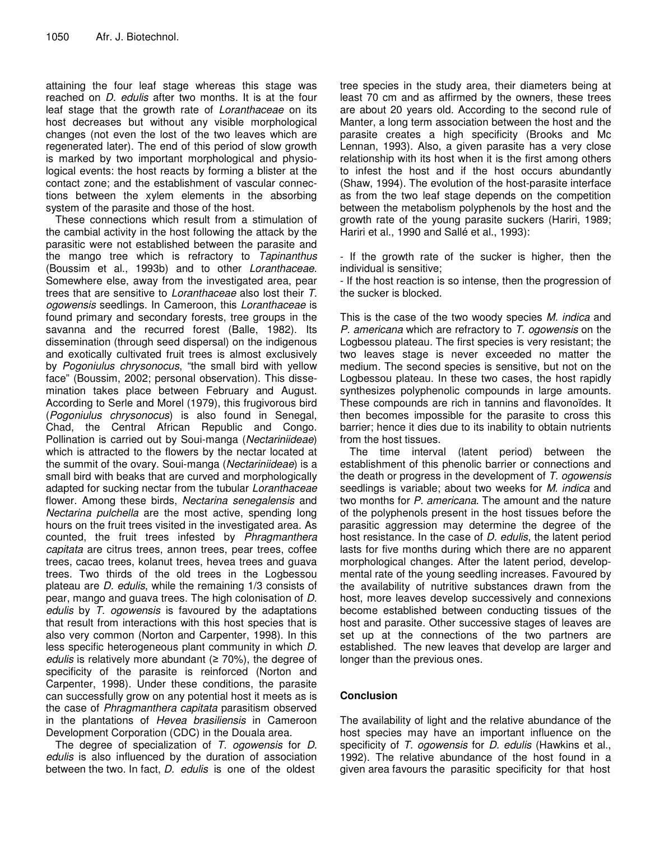attaining the four leaf stage whereas this stage was reached on *D. edulis* after two months. It is at the four leaf stage that the growth rate of *Loranthaceae* on its host decreases but without any visible morphological changes (not even the lost of the two leaves which are regenerated later). The end of this period of slow growth is marked by two important morphological and physiological events: the host reacts by forming a blister at the contact zone; and the establishment of vascular connections between the xylem elements in the absorbing system of the parasite and those of the host.

These connections which result from a stimulation of the cambial activity in the host following the attack by the parasitic were not established between the parasite and the mango tree which is refractory to *Tapinanthus* (Boussim et al., 1993b) and to other *Loranthaceae*. Somewhere else, away from the investigated area, pear trees that are sensitive to *Loranthaceae* also lost their *T. ogowensis* seedlings. In Cameroon, this *Loranthaceae* is found primary and secondary forests, tree groups in the savanna and the recurred forest (Balle, 1982). Its dissemination (through seed dispersal) on the indigenous and exotically cultivated fruit trees is almost exclusively by *Pogoniulus chrysonocus*, "the small bird with yellow face" (Boussim, 2002; personal observation). This dissemination takes place between February and August. According to Serle and Morel (1979), this frugivorous bird (*Pogoniulus chrysonocus*) is also found in Senegal, Chad, the Central African Republic and Congo. Pollination is carried out by Soui-manga (*Nectariniideae*) which is attracted to the flowers by the nectar located at the summit of the ovary. Soui-manga (*Nectariniideae*) is a small bird with beaks that are curved and morphologically adapted for sucking nectar from the tubular *Loranthaceae* flower. Among these birds, *Nectarina senegalensis* and *Nectarina pulchella* are the most active, spending long hours on the fruit trees visited in the investigated area. As counted, the fruit trees infested by *Phragmanthera capitata* are citrus trees, annon trees, pear trees, coffee trees, cacao trees, kolanut trees, hevea trees and guava trees. Two thirds of the old trees in the Logbessou plateau are *D. edulis*, while the remaining 1/3 consists of pear, mango and guava trees. The high colonisation of *D. edulis* by *T. ogowensis* is favoured by the adaptations that result from interactions with this host species that is also very common (Norton and Carpenter, 1998). In this less specific heterogeneous plant community in which *D. edulis* is relatively more abundant  $(270\%)$ , the degree of specificity of the parasite is reinforced (Norton and Carpenter, 1998). Under these conditions, the parasite can successfully grow on any potential host it meets as is the case of *Phragmanthera capitata* parasitism observed in the plantations of *Hevea brasiliensis* in Cameroon Development Corporation (CDC) in the Douala area.

The degree of specialization of *T. ogowensis* for *D. edulis* is also influenced by the duration of association between the two. In fact, *D. edulis* is one of the oldest

tree species in the study area, their diameters being at least 70 cm and as affirmed by the owners, these trees are about 20 years old. According to the second rule of Manter, a long term association between the host and the parasite creates a high specificity (Brooks and Mc Lennan, 1993). Also, a given parasite has a very close relationship with its host when it is the first among others to infest the host and if the host occurs abundantly (Shaw, 1994). The evolution of the host-parasite interface as from the two leaf stage depends on the competition between the metabolism polyphenols by the host and the growth rate of the young parasite suckers (Hariri, 1989; Hariri et al., 1990 and Sallé et al., 1993):

- If the growth rate of the sucker is higher, then the individual is sensitive;

- If the host reaction is so intense, then the progression of the sucker is blocked.

This is the case of the two woody species *M. indica* and *P. americana* which are refractory to *T. ogowensis* on the Logbessou plateau. The first species is very resistant; the two leaves stage is never exceeded no matter the medium. The second species is sensitive, but not on the Logbessou plateau. In these two cases, the host rapidly synthesizes polyphenolic compounds in large amounts. These compounds are rich in tannins and flavonoïdes. It then becomes impossible for the parasite to cross this barrier; hence it dies due to its inability to obtain nutrients from the host tissues.

The time interval (latent period) between the establishment of this phenolic barrier or connections and the death or progress in the development of *T. ogowensis* seedlings is variable; about two weeks for *M. indica* and two months for *P. americana*. The amount and the nature of the polyphenols present in the host tissues before the parasitic aggression may determine the degree of the host resistance. In the case of *D. edulis*, the latent period lasts for five months during which there are no apparent morphological changes. After the latent period, developmental rate of the young seedling increases. Favoured by the availability of nutritive substances drawn from the host, more leaves develop successively and connexions become established between conducting tissues of the host and parasite. Other successive stages of leaves are set up at the connections of the two partners are established. The new leaves that develop are larger and longer than the previous ones.

# **Conclusion**

The availability of light and the relative abundance of the host species may have an important influence on the specificity of *T. ogowensis* for *D. edulis* (Hawkins et al., 1992). The relative abundance of the host found in a given area favours the parasitic specificity for that host